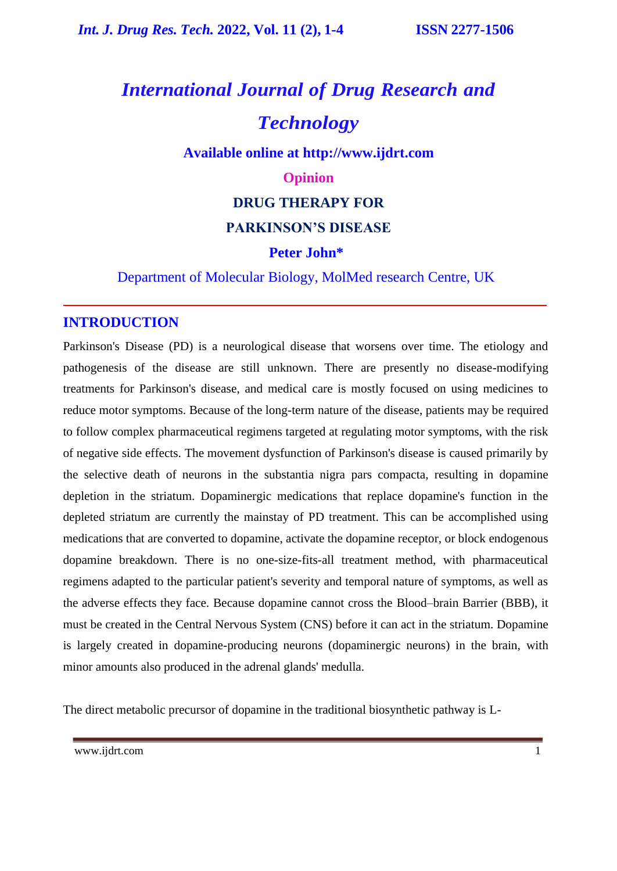# *International Journal of Drug Research and Technology*

**Available online at [http://www.ijdrt.com](http://www.ijdrt.com/)**

#### **Opinion**

#### **DRUG THERAPY FOR**

#### **PARKINSON'S DISEASE**

#### **Peter John\***

Department of Molecular Biology, MolMed research Centre, UK

#### **INTRODUCTION**

Parkinson's Disease (PD) is a neurological disease that worsens over time. The etiology and pathogenesis of the disease are still unknown. There are presently no disease-modifying treatments for Parkinson's disease, and medical care is mostly focused on using medicines to reduce motor symptoms. Because of the long-term nature of the disease, patients may be required to follow complex pharmaceutical regimens targeted at regulating motor symptoms, with the risk of negative side effects. The movement dysfunction of Parkinson's disease is caused primarily by the selective death of neurons in the substantia nigra pars compacta, resulting in dopamine depletion in the striatum. Dopaminergic medications that replace dopamine's function in the depleted striatum are currently the mainstay of PD treatment. This can be accomplished using medications that are converted to dopamine, activate the dopamine receptor, or block endogenous dopamine breakdown. There is no one-size-fits-all treatment method, with pharmaceutical regimens adapted to the particular patient's severity and temporal nature of symptoms, as well as the adverse effects they face. Because dopamine cannot cross the Blood–brain Barrier (BBB), it must be created in the Central Nervous System (CNS) before it can act in the striatum. Dopamine is largely created in dopamine-producing neurons (dopaminergic neurons) in the brain, with minor amounts also produced in the adrenal glands' medulla.

The direct metabolic precursor of dopamine in the traditional biosynthetic pathway is L-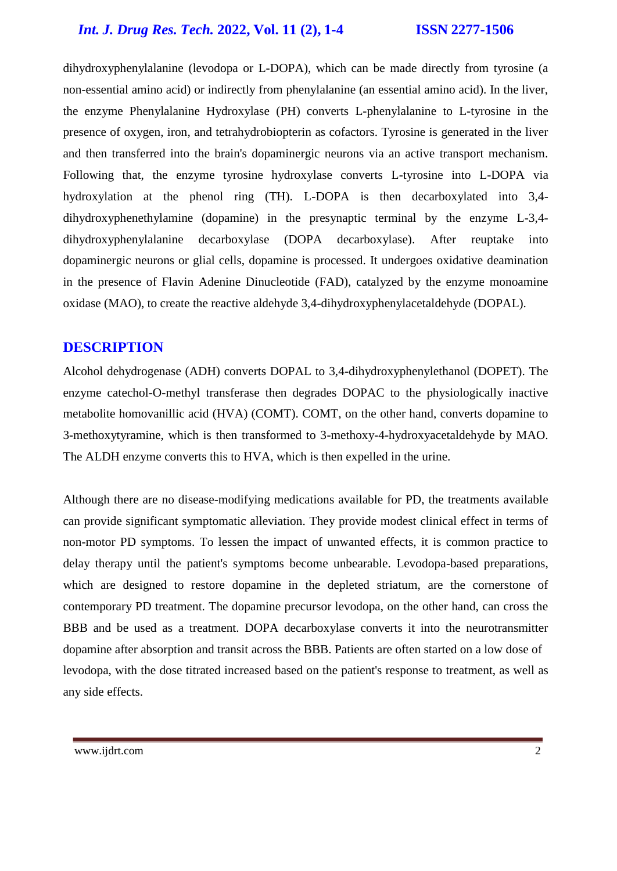### *Int. J. Drug Res. Tech.* **2022, Vol. 11 (2), 1-4 ISSN 2277-1506**

dihydroxyphenylalanine (levodopa or L-DOPA), which can be made directly from tyrosine (a non-essential amino acid) or indirectly from phenylalanine (an essential amino acid). In the liver, the enzyme Phenylalanine Hydroxylase (PH) converts L-phenylalanine to L-tyrosine in the presence of oxygen, iron, and tetrahydrobiopterin as cofactors. Tyrosine is generated in the liver and then transferred into the brain's dopaminergic neurons via an active transport mechanism. Following that, the enzyme tyrosine hydroxylase converts L-tyrosine into L-DOPA via hydroxylation at the phenol ring (TH). L-DOPA is then decarboxylated into 3,4 dihydroxyphenethylamine (dopamine) in the presynaptic terminal by the enzyme L-3,4 dihydroxyphenylalanine decarboxylase (DOPA decarboxylase). After reuptake into dopaminergic neurons or glial cells, dopamine is processed. It undergoes oxidative deamination in the presence of Flavin Adenine Dinucleotide (FAD), catalyzed by the enzyme monoamine oxidase (MAO), to create the reactive aldehyde 3,4-dihydroxyphenylacetaldehyde (DOPAL).

#### **DESCRIPTION**

Alcohol dehydrogenase (ADH) converts DOPAL to 3,4-dihydroxyphenylethanol (DOPET). The enzyme catechol-O-methyl transferase then degrades DOPAC to the physiologically inactive metabolite homovanillic acid (HVA) (COMT). COMT, on the other hand, converts dopamine to 3-methoxytyramine, which is then transformed to 3-methoxy-4-hydroxyacetaldehyde by MAO. The ALDH enzyme converts this to HVA, which is then expelled in the urine.

Although there are no disease-modifying medications available for PD, the treatments available can provide significant symptomatic alleviation. They provide modest clinical effect in terms of non-motor PD symptoms. To lessen the impact of unwanted effects, it is common practice to delay therapy until the patient's symptoms become unbearable. Levodopa-based preparations, which are designed to restore dopamine in the depleted striatum, are the cornerstone of contemporary PD treatment. The dopamine precursor levodopa, on the other hand, can cross the BBB and be used as a treatment. DOPA decarboxylase converts it into the neurotransmitter dopamine after absorption and transit across the BBB. Patients are often started on a low dose of levodopa, with the dose titrated increased based on the patient's response to treatment, as well as any side effects.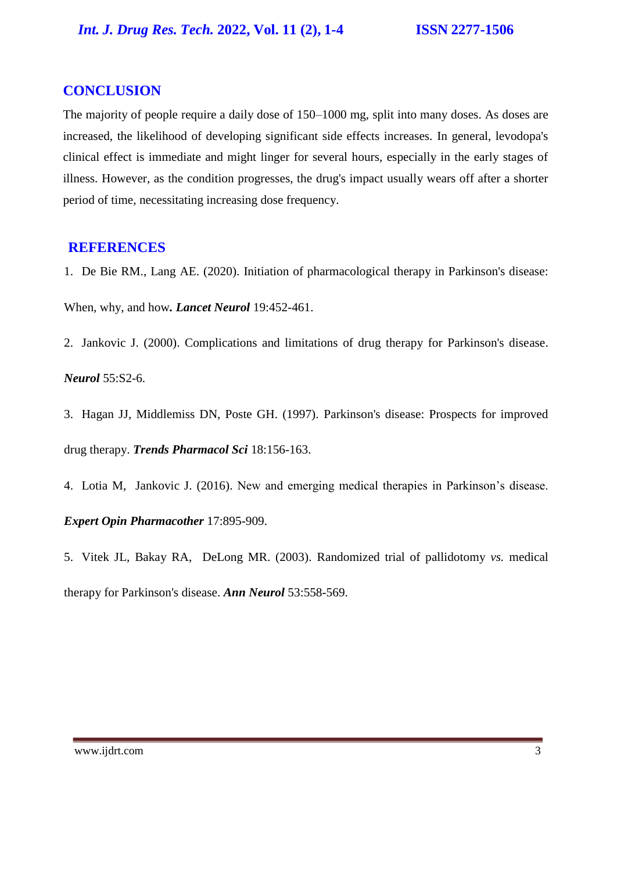### **CONCLUSION**

The majority of people require a daily dose of 150–1000 mg, split into many doses. As doses are increased, the likelihood of developing significant side effects increases. In general, levodopa's clinical effect is immediate and might linger for several hours, especially in the early stages of illness. However, as the condition progresses, the drug's impact usually wears off after a shorter period of time, necessitating increasing dose frequency.

#### **REFERENCES**

1. De Bie RM., Lang AE. (2020). [Initiation of pharmacological therapy in Parkinson's disease:](https://researchinformation.amsterdamumc.org/en/publications/initiation-of-pharmacological-therapy-in-parkinsons-disease-when-) 

[When, why, and how](https://researchinformation.amsterdamumc.org/en/publications/initiation-of-pharmacological-therapy-in-parkinsons-disease-when-)*. Lancet Neurol* 19:452-461.

2. Jankovic J. (2000). [Complications and limitations of drug therapy for Parkinson's disease.](https://www.researchgate.net/publication/12142022_Complications_and_limitations_of_drug_therapy_for_Parkinson)

*Neurol* 55:S2-6.

- 3. Hagan JJ, Middlemiss DN, Poste GH. (1997). [Parkinson's disease: Prospects for improved](https://www.sciencedirect.com/science/article/pii/S016561479790612X)  [drug therapy.](https://www.sciencedirect.com/science/article/pii/S016561479790612X) *Trends Pharmacol Sci* 18:156-163.
- 4. Lotia M, Jankovic J. (2016). [New and emerging medical therapies in Parkinson's disease.](https://www.tandfonline.com/doi/abs/10.1517/14656566.2016.1149163) *Expert Opin Pharmacother* 17:895-909.
- 5. Vitek JL, Bakay RA, DeLong MR. (2003). [Randomized trial of pallidotomy](https://onlinelibrary.wiley.com/doi/10.1002/ana.10517) *vs.* medical [therapy for Parkinson's disease.](https://onlinelibrary.wiley.com/doi/10.1002/ana.10517) *Ann Neurol* 53:558-569.